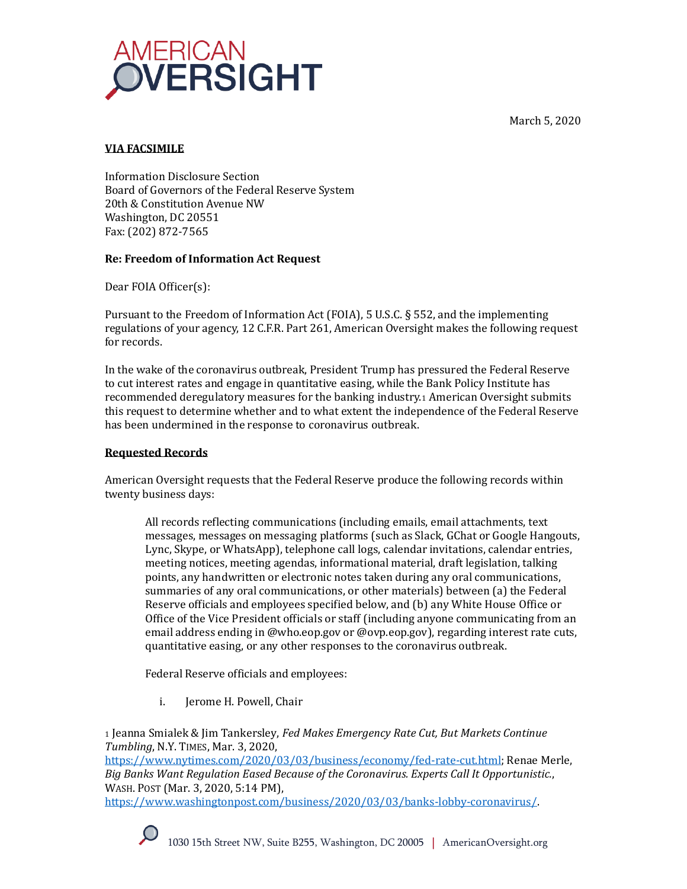March 5, 2020



# **VIA FACSIMILE**

Information Disclosure Section Board of Governors of the Federal Reserve System 20th & Constitution Avenue NW Washington, DC 20551 Fax: (202) 872-7565

# **Re: Freedom of Information Act Request**

Dear FOIA Officer(s):

Pursuant to the Freedom of Information Act (FOIA), 5 U.S.C. § 552, and the implementing regulations of your agency, 12 C.F.R. Part 261, American Oversight makes the following request for records.

In the wake of the coronavirus outbreak, President Trump has pressured the Federal Reserve to cut interest rates and engage in quantitative easing, while the Bank Policy Institute has recommended deregulatory measures for the banking industry.<sup>1</sup> American Oversight submits this request to determine whether and to what extent the independence of the Federal Reserve has been undermined in the response to coronavirus outbreak.

# **Requested Records**

American Oversight requests that the Federal Reserve produce the following records within twenty business days:

All records reflecting communications (including emails, email attachments, text messages, messages on messaging platforms (such as Slack, GChat or Google Hangouts, Lync, Skype, or WhatsApp), telephone call logs, calendar invitations, calendar entries, meeting notices, meeting agendas, informational material, draft legislation, talking points, any handwritten or electronic notes taken during any oral communications, summaries of any oral communications, or other materials) between (a) the Federal Reserve officials and employees specified below, and (b) any White House Office or Office of the Vice President officials or staff (including anyone communicating from an email address ending in @who.eop.gov or @ovp.eop.gov), regarding interest rate cuts, quantitative easing, or any other responses to the coronavirus outbreak.

Federal Reserve officials and employees:

i. Jerome H. Powell, Chair

<sup>1</sup> Jeanna Smialek & Jim Tankersley, *Fed Makes Emergency Rate Cut, But Markets Continue Tumbling*, N.Y. TIMES, Mar. 3, 2020, [https://www.nytimes.com/2020/03/03/business/economy/fed-rate-cut.html;](https://www.nytimes.com/2020/03/03/business/economy/fed-rate-cut.html) Renae Merle, *Big Banks Want Regulation Eased Because of the Coronavirus. Experts Call It Opportunistic.*, WASH. POST (Mar. 3, 2020, 5:14 PM),

[https://www.washingtonpost.com/business/2020/03/03/banks-lobby-coronavirus/.](https://www.washingtonpost.com/business/2020/03/03/banks-lobby-coronavirus/)

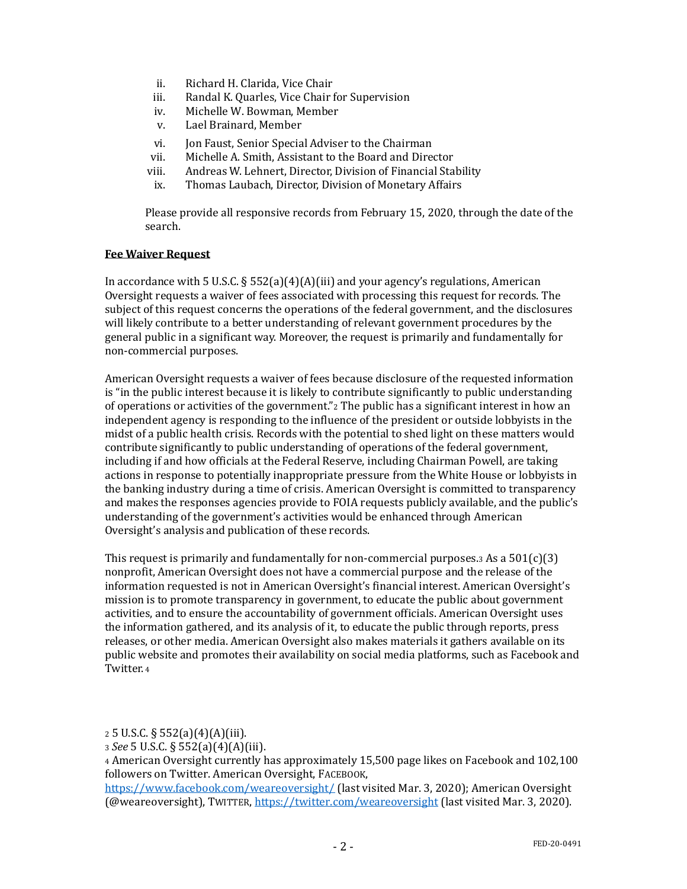- ii. Richard H. Clarida, Vice Chair
- iii. Randal K. Quarles, Vice Chair for Supervision
- iv. Michelle W. Bowman, Member
- v. Lael Brainard, Member
- vi. Jon Faust, Senior Special Adviser to the Chairman
- vii. Michelle A. Smith, Assistant to the Board and Director
- viii. Andreas W. Lehnert, Director, Division of Financial Stability
- ix. Thomas Laubach, Director, Division of Monetary Affairs

Please provide all responsive records from February 15, 2020, through the date of the search.

#### **Fee Waiver Request**

In accordance with 5 U.S.C.  $\S 552(a)(4)(i)$  and your agency's regulations, American Oversight requests a waiver of fees associated with processing this request for records. The subject of this request concerns the operations of the federal government, and the disclosures will likely contribute to a better understanding of relevant government procedures by the general public in a significant way. Moreover, the request is primarily and fundamentally for non-commercial purposes.

American Oversight requests a waiver of fees because disclosure of the requested information is "in the public interest because it is likely to contribute significantly to public understanding of operations or activities of the government."<sup>2</sup> The public has a significant interest in how an independent agency is responding to the influence of the president or outside lobbyists in the midst of a public health crisis. Records with the potential to shed light on these matters would contribute significantly to public understanding of operations of the federal government, including if and how officials at the Federal Reserve, including Chairman Powell, are taking actions in response to potentially inappropriate pressure from the White House or lobbyists in the banking industry during a time of crisis. American Oversight is committed to transparency and makes the responses agencies provide to FOIA requests publicly available, and the public's understanding of the government's activities would be enhanced through American Oversight's analysis and publication of these records.

This request is primarily and fundamentally for non-commercial purposes.<sup>3</sup> As a  $501(c)(3)$ nonprofit, American Oversight does not have a commercial purpose and the release of the information requested is not in American Oversight's financial interest. American Oversight's mission is to promote transparency in government, to educate the public about government activities, and to ensure the accountability of government officials. American Oversight uses the information gathered, and its analysis of it, to educate the public through reports, press releases, or other media. American Oversight also makes materials it gathers available on its public website and promotes their availability on social media platforms, such as Facebook and Twitter. <sup>4</sup>

<sup>2</sup> 5 U.S.C. § 552(a)(4)(A)(iii).

<sup>3</sup> *See* 5 U.S.C. § 552(a)(4)(A)(iii).

<sup>4</sup> American Oversight currently has approximately 15,500 page likes on Facebook and 102,100 followers on Twitter. American Oversight, FACEBOOK,

<https://www.facebook.com/weareoversight/> (last visited Mar. 3, 2020); American Oversight (@weareoversight), TWITTER,<https://twitter.com/weareoversight> (last visited Mar. 3, 2020).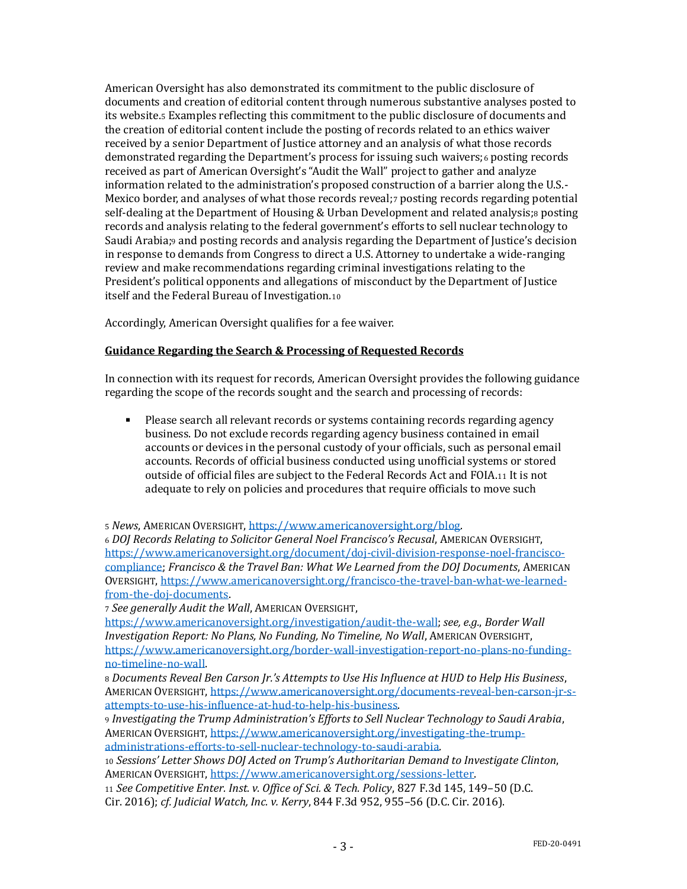American Oversight has also demonstrated its commitment to the public disclosure of documents and creation of editorial content through numerous substantive analyses posted to its website.<sup>5</sup> Examples reflecting this commitment to the public disclosure of documents and the creation of editorial content include the posting of records related to an ethics waiver received by a senior Department of Justice attorney and an analysis of what those records demonstrated regarding the Department's process for issuing such waivers;<sup>6</sup> posting records received as part of American Oversight's "Audit the Wall" project to gather and analyze information related to the administration's proposed construction of a barrier along the U.S.- Mexico border, and analyses of what those records reveal;<sup>7</sup> posting records regarding potential self-dealing at the Department of Housing & Urban Development and related analysis;8 posting records and analysis relating to the federal government's efforts to sell nuclear technology to Saudi Arabia; and posting records and analysis regarding the Department of Justice's decision in response to demands from Congress to direct a U.S. Attorney to undertake a wide-ranging review and make recommendations regarding criminal investigations relating to the President's political opponents and allegations of misconduct by the Department of Justice itself and the Federal Bureau of Investigation.<sup>10</sup>

Accordingly, American Oversight qualifies for a fee waiver.

# **Guidance Regarding the Search & Processing of Requested Records**

In connection with its request for records, American Oversight provides the following guidance regarding the scope of the records sought and the search and processing of records:

Please search all relevant records or systems containing records regarding agency business. Do not exclude records regarding agency business contained in email accounts or devices in the personal custody of your officials, such as personal email accounts. Records of official business conducted using unofficial systems or stored outside of official files are subject to the Federal Records Act and FOIA.<sup>11</sup> It is not adequate to rely on policies and procedures that require officials to move such

<sup>5</sup> *News*, AMERICAN OVERSIGHT[, https://www.americanoversight.org/blog.](https://www.americanoversight.org/blog) 

<sup>6</sup> *DOJ Records Relating to Solicitor General Noel Francisco's Recusal*, AMERICAN OVERSIGH[T](https://www.americanoversight.org/document/doj-civil-division-response-noel-francisco-compliance), [https://www.americanoversight.org/document/doj-civil-division-response-noel-francisco](https://www.americanoversight.org/document/doj-civil-division-response-noel-francisco-compliance)[compliance;](https://www.americanoversight.org/document/doj-civil-division-response-noel-francisco-compliance) *Francisco & the Travel Ban: What We Learned from the DOJ Documents*, AMERICAN OVERSIGHT, [https://www.americanoversight.org/francisco-the-travel-ban-what-we-learned](https://www.americanoversight.org/francisco-the-travel-ban-what-we-learned-from-the-doj-documents)[from-the-doj-documents.](https://www.americanoversight.org/francisco-the-travel-ban-what-we-learned-from-the-doj-documents)

<sup>7</sup> *See generally Audit the Wall*, AMERICAN OVERSIGHT,

[https://www.americanoversight.org/investigation/audit-the-wall;](https://www.americanoversight.org/investigation/audit-the-wall) *see, e.g.*, *Border Wall Investigation Report: No Plans, No Funding, No Timeline, No Wall*, AMERICAN OVERSIGHT, [https://www.americanoversight.org/border-wall-investigation-report-no-plans-no-funding](https://www.americanoversight.org/border-wall-investigation-report-no-plans-no-funding-no-timeline-no-wall)[no-timeline-no-wall.](https://www.americanoversight.org/border-wall-investigation-report-no-plans-no-funding-no-timeline-no-wall)

<sup>8</sup> *Documents Reveal Ben Carson Jr.'s Attempts to Use His Influence at HUD to Help His Business*, AMERICAN OVERSIGHT[, https://www.americanoversight.org/documents-reveal-ben-carson-jr-s](https://www.americanoversight.org/documents-reveal-ben-carson-jr-s-attempts-to-use-his-influence-at-hud-to-help-his-business)[attempts-to-use-his-influence-at-hud-to-help-his-business.](https://www.americanoversight.org/documents-reveal-ben-carson-jr-s-attempts-to-use-his-influence-at-hud-to-help-his-business) 

<sup>9</sup> *Investigating the Trump Administration's Efforts to Sell Nuclear Technology to Saudi Arabia*, AMERICAN OVERSIGHT[, https://www.americanoversight.org/investigating-the-trump](https://www.americanoversight.org/investigating-the-trump-administrations-efforts-to-sell-nuclear-technology-to-saudi-arabia)[administrations-efforts-to-sell-nuclear-technology-to-saudi-arabia.](https://www.americanoversight.org/investigating-the-trump-administrations-efforts-to-sell-nuclear-technology-to-saudi-arabia) 

<sup>10</sup> *Sessions' Letter Shows DOJ Acted on Trump's Authoritarian Demand to Investigate Clinton*, AMERICAN OVERSIGHT[, https://www.americanoversight.org/sessions-letter.](https://www.americanoversight.org/sessions-letter) 

<sup>11</sup> *See Competitive Enter. Inst. v. Office of Sci. & Tech. Policy*, 827 F.3d 145, 149–50 (D.C. Cir. 2016); *cf. Judicial Watch, Inc. v. Kerry*, 844 F.3d 952, 955–56 (D.C. Cir. 2016).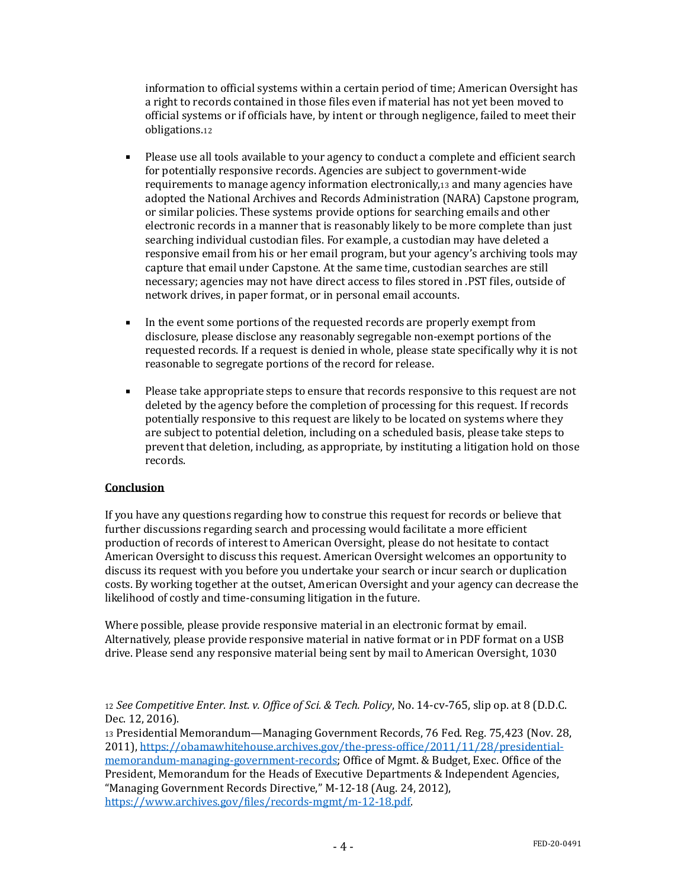information to official systems within a certain period of time; American Oversight has a right to records contained in those files even if material has not yet been moved to official systems or if officials have, by intent or through negligence, failed to meet their obligations.<sup>12</sup>

- Please use all tools available to your agency to conduct a complete and efficient search for potentially responsive records. Agencies are subject to government-wide requirements to manage agency information electronically,<sup>13</sup> and many agencies have adopted the National Archives and Records Administration (NARA) Capstone program, or similar policies. These systems provide options for searching emails and other electronic records in a manner that is reasonably likely to be more complete than just searching individual custodian files. For example, a custodian may have deleted a responsive email from his or her email program, but your agency's archiving tools may capture that email under Capstone. At the same time, custodian searches are still necessary; agencies may not have direct access to files stored in .PST files, outside of network drives, in paper format, or in personal email accounts.
- In the event some portions of the requested records are properly exempt from disclosure, please disclose any reasonably segregable non-exempt portions of the requested records. If a request is denied in whole, please state specifically why it is not reasonable to segregate portions of the record for release.
- Please take appropriate steps to ensure that records responsive to this request are not deleted by the agency before the completion of processing for this request. If records potentially responsive to this request are likely to be located on systems where they are subject to potential deletion, including on a scheduled basis, please take steps to prevent that deletion, including, as appropriate, by instituting a litigation hold on those records.

# **Conclusion**

If you have any questions regarding how to construe this request for records or believe that further discussions regarding search and processing would facilitate a more efficient production of records of interest to American Oversight, please do not hesitate to contact American Oversight to discuss this request. American Oversight welcomes an opportunity to discuss its request with you before you undertake your search or incur search or duplication costs. By working together at the outset, American Oversight and your agency can decrease the likelihood of costly and time-consuming litigation in the future.

Where possible, please provide responsive material in an electronic format by email. Alternatively, please provide responsive material in native format or in PDF format on a USB drive. Please send any responsive material being sent by mail to American Oversight, 1030

<sup>13</sup> Presidential Memorandum—Managing Government Records, 76 Fed. Reg. 75,423 (Nov. 28, 2011), [https://obamawhitehouse.archives.gov/the-press-office/2011/11/28/presidential](https://obamawhitehouse.archives.gov/the-press-office/2011/11/28/presidential-memorandum-managing-government-records)[memorandum-managing-government-records;](https://obamawhitehouse.archives.gov/the-press-office/2011/11/28/presidential-memorandum-managing-government-records) Office of Mgmt. & Budget, Exec. Office of the President, Memorandum for the Heads of Executive Departments & Independent Agencies, "Managing Government Records Directive," M-12-18 (Aug. 24, 2012), [https://www.archives.gov/files/records-mgmt/m-12-18.pdf.](https://www.archives.gov/files/records-mgmt/m-12-18.pdf) 

<sup>12</sup> *See Competitive Enter. Inst. v. Office of Sci. & Tech. Policy*, No. 14-cv-765, slip op. at 8 (D.D.C. Dec. 12, 2016).